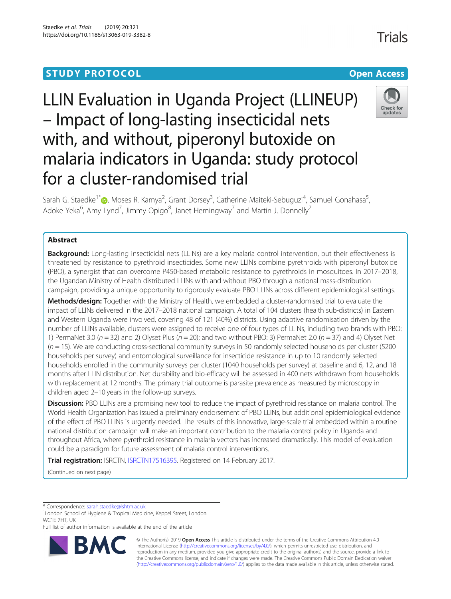# **STUDY PROTOCOL CONSUMING THE RESERVE ACCESS**

# LLIN Evaluation in Uganda Project (LLINEUP) – Impact of long-lasting insecticidal nets with, and without, piperonyl butoxide on malaria indicators in Uganda: study protocol for a cluster-randomised trial

Sarah G. Staedke<sup>1[\\*](http://orcid.org/0000-0003-2505-821X)</sup>©, Moses R. Kamya<sup>2</sup>, Grant Dorsey<sup>3</sup>, Catherine Maiteki-Sebuguzi<sup>4</sup>, Samuel Gonahasa<sup>5</sup> , Adoke Yeka<sup>6</sup>, Amy Lynd<sup>7</sup>, Jimmy Opigo<sup>8</sup>, Janet Hemingway<sup>7</sup> and Martin J. Donnelly<sup>7</sup>

# Abstract

Background: Long-lasting insecticidal nets (LLINs) are a key malaria control intervention, but their effectiveness is threatened by resistance to pyrethroid insecticides. Some new LLINs combine pyrethroids with piperonyl butoxide (PBO), a synergist that can overcome P450-based metabolic resistance to pyrethroids in mosquitoes. In 2017–2018, the Ugandan Ministry of Health distributed LLINs with and without PBO through a national mass-distribution campaign, providing a unique opportunity to rigorously evaluate PBO LLINs across different epidemiological settings.

Methods/design: Together with the Ministry of Health, we embedded a cluster-randomised trial to evaluate the impact of LLINs delivered in the 2017–2018 national campaign. A total of 104 clusters (health sub-districts) in Eastern and Western Uganda were involved, covering 48 of 121 (40%) districts. Using adaptive randomisation driven by the number of LLINs available, clusters were assigned to receive one of four types of LLINs, including two brands with PBO: 1) PermaNet 3.0 ( $n = 32$ ) and 2) Olyset Plus ( $n = 20$ ); and two without PBO: 3) PermaNet 2.0 ( $n = 37$ ) and 4) Olyset Net  $(n = 15)$ . We are conducting cross-sectional community surveys in 50 randomly selected households per cluster (5200) households per survey) and entomological surveillance for insecticide resistance in up to 10 randomly selected households enrolled in the community surveys per cluster (1040 households per survey) at baseline and 6, 12, and 18 months after LLIN distribution. Net durability and bio-efficacy will be assessed in 400 nets withdrawn from households with replacement at 12 months. The primary trial outcome is parasite prevalence as measured by microscopy in children aged 2–10 years in the follow-up surveys.

**Discussion:** PBO LLINs are a promising new tool to reduce the impact of pyrethroid resistance on malaria control. The World Health Organization has issued a preliminary endorsement of PBO LLINs, but additional epidemiological evidence of the effect of PBO LLINs is urgently needed. The results of this innovative, large-scale trial embedded within a routine national distribution campaign will make an important contribution to the malaria control policy in Uganda and throughout Africa, where pyrethroid resistance in malaria vectors has increased dramatically. This model of evaluation could be a paradigm for future assessment of malaria control interventions.

Trial registration: ISRCTN, [ISRCTN17516395.](https://doi.org/10.1186/ISRCTN17516395) Registered on 14 February 2017.

(Continued on next page)

\* Correspondence: [sarah.staedke@lshtm.ac.uk](mailto:sarah.staedke@lshtm.ac.uk) <sup>1</sup>

London School of Hygiene & Tropical Medicine, Keppel Street, London WC1E 7HT, UK

Full list of author information is available at the end of the article





© The Author(s). 2019 **Open Access** This article is distributed under the terms of the Creative Commons Attribution 4.0 International License [\(http://creativecommons.org/licenses/by/4.0/](http://creativecommons.org/licenses/by/4.0/)), which permits unrestricted use, distribution, and reproduction in any medium, provided you give appropriate credit to the original author(s) and the source, provide a link to the Creative Commons license, and indicate if changes were made. The Creative Commons Public Domain Dedication waiver [\(http://creativecommons.org/publicdomain/zero/1.0/](http://creativecommons.org/publicdomain/zero/1.0/)) applies to the data made available in this article, unless otherwise stated.

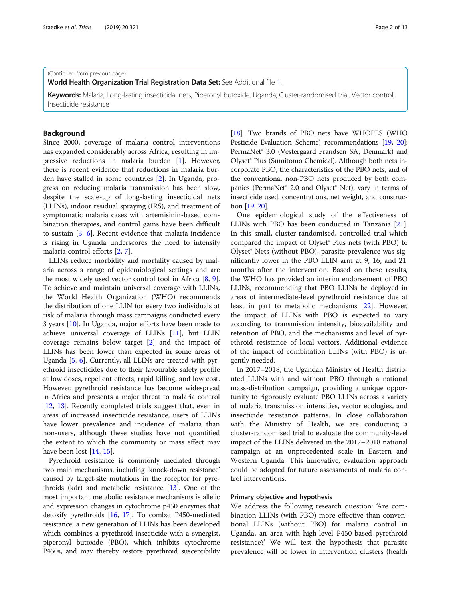# (Continued from previous page)

World Health Organization Trial Registration Data Set: See Additional file [1](#page-11-0).

Keywords: Malaria, Long-lasting insecticidal nets, Piperonyl butoxide, Uganda, Cluster-randomised trial, Vector control, Insecticide resistance

## Background

Since 2000, coverage of malaria control interventions has expanded considerably across Africa, resulting in impressive reductions in malaria burden [[1\]](#page-11-0). However, there is recent evidence that reductions in malaria burden have stalled in some countries [\[2](#page-11-0)]. In Uganda, progress on reducing malaria transmission has been slow, despite the scale-up of long-lasting insecticidal nets (LLINs), indoor residual spraying (IRS), and treatment of symptomatic malaria cases with artemisinin-based combination therapies, and control gains have been difficult to sustain [[3](#page-11-0)–[6](#page-12-0)]. Recent evidence that malaria incidence is rising in Uganda underscores the need to intensify malaria control efforts [\[2](#page-11-0), [7](#page-12-0)].

LLINs reduce morbidity and mortality caused by malaria across a range of epidemiological settings and are the most widely used vector control tool in Africa [\[8,](#page-12-0) [9](#page-12-0)]. To achieve and maintain universal coverage with LLINs, the World Health Organization (WHO) recommends the distribution of one LLIN for every two individuals at risk of malaria through mass campaigns conducted every 3 years [\[10](#page-12-0)]. In Uganda, major efforts have been made to achieve universal coverage of LLINs [\[11](#page-12-0)], but LLIN coverage remains below target [\[2\]](#page-11-0) and the impact of LLINs has been lower than expected in some areas of Uganda [\[5](#page-12-0), [6\]](#page-12-0). Currently, all LLINs are treated with pyrethroid insecticides due to their favourable safety profile at low doses, repellent effects, rapid killing, and low cost. However, pyrethroid resistance has become widespread in Africa and presents a major threat to malaria control [[12,](#page-12-0) [13](#page-12-0)]. Recently completed trials suggest that, even in areas of increased insecticide resistance, users of LLINs have lower prevalence and incidence of malaria than non-users, although these studies have not quantified the extent to which the community or mass effect may have been lost [\[14,](#page-12-0) [15\]](#page-12-0).

Pyrethroid resistance is commonly mediated through two main mechanisms, including 'knock-down resistance' caused by target-site mutations in the receptor for pyrethroids (kdr) and metabolic resistance [[13](#page-12-0)]. One of the most important metabolic resistance mechanisms is allelic and expression changes in cytochrome p450 enzymes that detoxify pyrethroids [\[16,](#page-12-0) [17](#page-12-0)]. To combat P450-mediated resistance, a new generation of LLINs has been developed which combines a pyrethroid insecticide with a synergist, piperonyl butoxide (PBO), which inhibits cytochrome P450s, and may thereby restore pyrethroid susceptibility [[18](#page-12-0)]. Two brands of PBO nets have WHOPES (WHO Pesticide Evaluation Scheme) recommendations [[19](#page-12-0), [20](#page-12-0)]: PermaNet® 3.0 (Vestergaard Frandsen SA, Denmark) and Olyset® Plus (Sumitomo Chemical). Although both nets incorporate PBO, the characteristics of the PBO nets, and of the conventional non-PBO nets produced by both companies (PermaNet® 2.0 and Olyset® Net), vary in terms of insecticide used, concentrations, net weight, and construction [\[19,](#page-12-0) [20\]](#page-12-0).

One epidemiological study of the effectiveness of LLINs with PBO has been conducted in Tanzania [\[21](#page-12-0)]. In this small, cluster-randomised, controlled trial which compared the impact of Olyset® Plus nets (with PBO) to Olyset® Nets (without PBO), parasite prevalence was significantly lower in the PBO LLIN arm at 9, 16, and 21 months after the intervention. Based on these results, the WHO has provided an interim endorsement of PBO LLINs, recommending that PBO LLINs be deployed in areas of intermediate-level pyrethroid resistance due at least in part to metabolic mechanisms [\[22](#page-12-0)]. However, the impact of LLINs with PBO is expected to vary according to transmission intensity, bioavailability and retention of PBO, and the mechanisms and level of pyrethroid resistance of local vectors. Additional evidence of the impact of combination LLINs (with PBO) is urgently needed.

In 2017–2018, the Ugandan Ministry of Health distributed LLINs with and without PBO through a national mass-distribution campaign, providing a unique opportunity to rigorously evaluate PBO LLINs across a variety of malaria transmission intensities, vector ecologies, and insecticide resistance patterns. In close collaboration with the Ministry of Health, we are conducting a cluster-randomised trial to evaluate the community-level impact of the LLINs delivered in the 2017–2018 national campaign at an unprecedented scale in Eastern and Western Uganda. This innovative, evaluation approach could be adopted for future assessments of malaria control interventions.

#### Primary objective and hypothesis

We address the following research question: 'Are combination LLINs (with PBO) more effective than conventional LLINs (without PBO) for malaria control in Uganda, an area with high-level P450-based pyrethroid resistance?' We will test the hypothesis that parasite prevalence will be lower in intervention clusters (health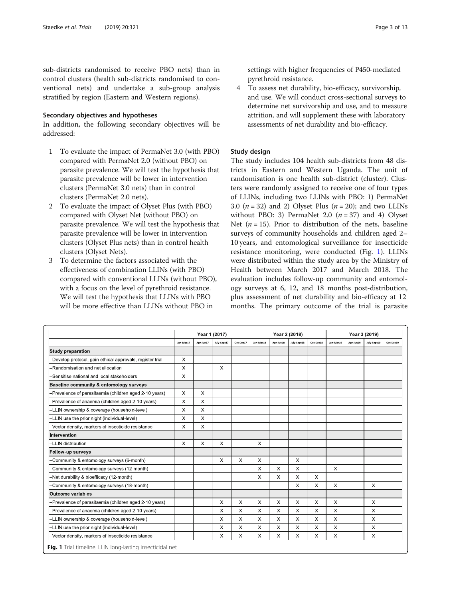sub-districts randomised to receive PBO nets) than in control clusters (health sub-districts randomised to conventional nets) and undertake a sub-group analysis stratified by region (Eastern and Western regions).

#### Secondary objectives and hypotheses

In addition, the following secondary objectives will be addressed:

- 1 To evaluate the impact of PermaNet 3.0 (with PBO) compared with PermaNet 2.0 (without PBO) on parasite prevalence. We will test the hypothesis that parasite prevalence will be lower in intervention clusters (PermaNet 3.0 nets) than in control clusters (PermaNet 2.0 nets).
- 2 To evaluate the impact of Olyset Plus (with PBO) compared with Olyset Net (without PBO) on parasite prevalence. We will test the hypothesis that parasite prevalence will be lower in intervention clusters (Olyset Plus nets) than in control health clusters (Olyset Nets).
- 3 To determine the factors associated with the effectiveness of combination LLINs (with PBO) compared with conventional LLINs (without PBO), with a focus on the level of pyrethroid resistance. We will test the hypothesis that LLINs with PBO will be more effective than LLINs without PBO in

settings with higher frequencies of P450-mediated pyrethroid resistance.

4 To assess net durability, bio-efficacy, survivorship, and use. We will conduct cross-sectional surveys to determine net survivorship and use, and to measure attrition, and will supplement these with laboratory assessments of net durability and bio-efficacy.

# Study design

The study includes 104 health sub-districts from 48 districts in Eastern and Western Uganda. The unit of randomisation is one health sub-district (cluster). Clusters were randomly assigned to receive one of four types of LLINs, including two LLINs with PBO: 1) PermaNet 3.0 ( $n = 32$ ) and 2) Olyset Plus ( $n = 20$ ); and two LLINs without PBO: 3) PermaNet 2.0  $(n = 37)$  and 4) Olyset Net ( $n = 15$ ). Prior to distribution of the nets, baseline surveys of community households and children aged 2– 10 years, and entomological surveillance for insecticide resistance monitoring, were conducted (Fig. 1). LLINs were distributed within the study area by the Ministry of Health between March 2017 and March 2018. The evaluation includes follow-up community and entomology surveys at 6, 12, and 18 months post-distribution, plus assessment of net durability and bio-efficacy at 12 months. The primary outcome of the trial is parasite

|                                                           | Year 1 (2017) |           |             | Year 2 (2018) |           |           |             | Year 3 (2019) |           |           |             |           |
|-----------------------------------------------------------|---------------|-----------|-------------|---------------|-----------|-----------|-------------|---------------|-----------|-----------|-------------|-----------|
|                                                           | Jan-Mar17     | Apr-Jun17 | July-Sept17 | Oct-Dec17     | Jan-Mar18 | Apr-Jun18 | July-Sept18 | Oct-Dec18     | Jan-Mar19 | Apr-Jun19 | July-Sept19 | Oct-Dec19 |
| <b>Study preparation</b>                                  |               |           |             |               |           |           |             |               |           |           |             |           |
| -Develop protocol, gain ethical approvals, register trial | X             |           |             |               |           |           |             |               |           |           |             |           |
| -Randomisation and net allocation                         | X             |           | $\times$    |               |           |           |             |               |           |           |             |           |
| -Sensitise national and local stakeholders                | X             |           |             |               |           |           |             |               |           |           |             |           |
| Baseline community & entomology surveys                   |               |           |             |               |           |           |             |               |           |           |             |           |
| -Prevalence of parasitaemia (children aged 2-10 years)    | X             | X         |             |               |           |           |             |               |           |           |             |           |
| -Prevalence of anaemia (children aged 2-10 years)         | X             | X         |             |               |           |           |             |               |           |           |             |           |
| -LLIN ownership & coverage (household-level)              | X             | X         |             |               |           |           |             |               |           |           |             |           |
| -LLIN use the prior night (individual-level)              | X             | X         |             |               |           |           |             |               |           |           |             |           |
| -Vector density, markers of insecticide resistance        | X             | X         |             |               |           |           |             |               |           |           |             |           |
| Intervention                                              |               |           |             |               |           |           |             |               |           |           |             |           |
| -LLIN distribution                                        | X             | X         | $\times$    |               | X         |           |             |               |           |           |             |           |
| Follow-up surveys                                         |               |           |             |               |           |           |             |               |           |           |             |           |
| -Community & entomology surveys (6-month)                 |               |           | X           | X             | X         |           | X           |               |           |           |             |           |
| -Community & entomology surveys (12-month)                |               |           |             |               | X         | X         | X           |               | X         |           |             |           |
| -Net durability & bioefficacy (12-month)                  |               |           |             |               | X         | X         | X           | X             |           |           |             |           |
| -Community & entomology surveys (18-month)                |               |           |             |               |           |           | X           | X             | X         |           | X           |           |
| <b>Outcome variables</b>                                  |               |           |             |               |           |           |             |               |           |           |             |           |
| -Prevalence of parasitaemia (children aged 2-10 years)    |               |           | $\times$    | X             | X         | X         | X           | X             | X         |           | X           |           |
| -Prevalence of anaemia (children aged 2-10 years)         |               |           | X           | $\times$      | X         | X         | $\times$    | X             | X         |           | X           |           |
| -LLIN ownership & coverage (household-level)              |               |           | $\times$    | X             | X         | $\times$  | X           | X             | X         |           | X           |           |
| -LLIN use the prior night (individual-level)              |               |           | $\times$    | X             | X         | $\times$  | X           | X             | X         |           | X           |           |
| -Vector density, markers of insecticide resistance        |               |           | X           | X             | X         | X         | X           | X             | X         |           | X           |           |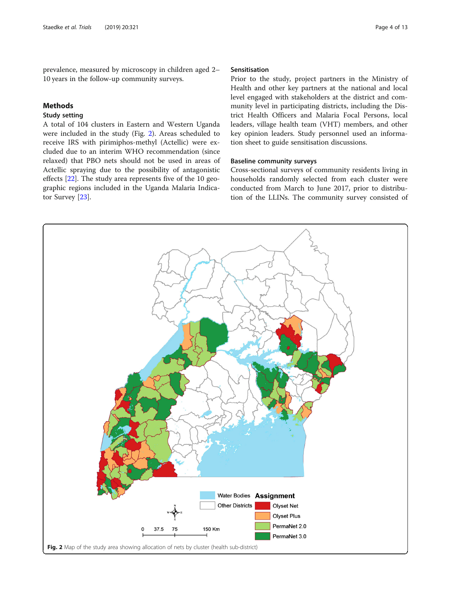prevalence, measured by microscopy in children aged 2– 10 years in the follow-up community surveys.

# Methods

# Study setting

A total of 104 clusters in Eastern and Western Uganda were included in the study (Fig. 2). Areas scheduled to receive IRS with pirimiphos-methyl (Actellic) were excluded due to an interim WHO recommendation (since relaxed) that PBO nets should not be used in areas of Actellic spraying due to the possibility of antagonistic effects [[22\]](#page-12-0). The study area represents five of the 10 geographic regions included in the Uganda Malaria Indicator Survey [\[23](#page-12-0)].

# Sensitisation

Prior to the study, project partners in the Ministry of Health and other key partners at the national and local level engaged with stakeholders at the district and community level in participating districts, including the District Health Officers and Malaria Focal Persons, local leaders, village health team (VHT) members, and other key opinion leaders. Study personnel used an information sheet to guide sensitisation discussions.

# Baseline community surveys

Cross-sectional surveys of community residents living in households randomly selected from each cluster were conducted from March to June 2017, prior to distribution of the LLINs. The community survey consisted of

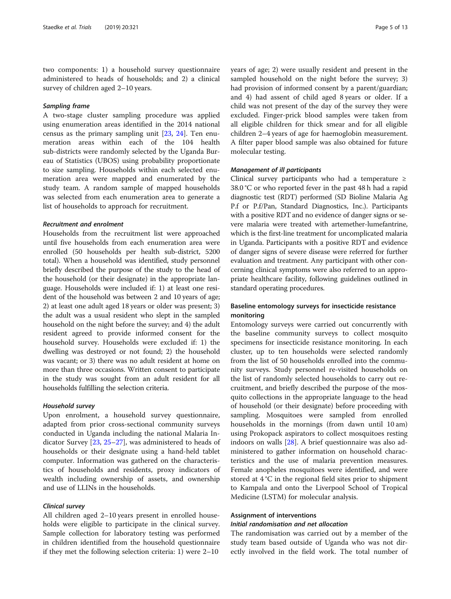two components: 1) a household survey questionnaire administered to heads of households; and 2) a clinical survey of children aged 2–10 years.

#### Sampling frame

A two-stage cluster sampling procedure was applied using enumeration areas identified in the 2014 national census as the primary sampling unit [[23,](#page-12-0) [24](#page-12-0)]. Ten enumeration areas within each of the 104 health sub-districts were randomly selected by the Uganda Bureau of Statistics (UBOS) using probability proportionate to size sampling. Households within each selected enumeration area were mapped and enumerated by the study team. A random sample of mapped households was selected from each enumeration area to generate a list of households to approach for recruitment.

# Recruitment and enrolment

Households from the recruitment list were approached until five households from each enumeration area were enrolled (50 households per health sub-district, 5200 total). When a household was identified, study personnel briefly described the purpose of the study to the head of the household (or their designate) in the appropriate language. Households were included if: 1) at least one resident of the household was between 2 and 10 years of age; 2) at least one adult aged 18 years or older was present; 3) the adult was a usual resident who slept in the sampled household on the night before the survey; and 4) the adult resident agreed to provide informed consent for the household survey. Households were excluded if: 1) the dwelling was destroyed or not found; 2) the household was vacant; or 3) there was no adult resident at home on more than three occasions. Written consent to participate in the study was sought from an adult resident for all households fulfilling the selection criteria.

#### Household survey

Upon enrolment, a household survey questionnaire, adapted from prior cross-sectional community surveys conducted in Uganda including the national Malaria Indicator Survey [\[23,](#page-12-0) [25](#page-12-0)–[27\]](#page-12-0), was administered to heads of households or their designate using a hand-held tablet computer. Information was gathered on the characteristics of households and residents, proxy indicators of wealth including ownership of assets, and ownership and use of LLINs in the households.

## Clinical survey

All children aged 2–10 years present in enrolled households were eligible to participate in the clinical survey. Sample collection for laboratory testing was performed in children identified from the household questionnaire if they met the following selection criteria: 1) were 2–10

years of age; 2) were usually resident and present in the sampled household on the night before the survey; 3) had provision of informed consent by a parent/guardian; and 4) had assent of child aged 8 years or older. If a child was not present of the day of the survey they were excluded. Finger-prick blood samples were taken from all eligible children for thick smear and for all eligible children 2–4 years of age for haemoglobin measurement. A filter paper blood sample was also obtained for future molecular testing.

#### Management of ill participants

Clinical survey participants who had a temperature  $\geq$ 38.0 °C or who reported fever in the past 48 h had a rapid diagnostic test (RDT) performed (SD Bioline Malaria Ag P.f or P.f/Pan, Standard Diagnostics, Inc.). Participants with a positive RDT and no evidence of danger signs or severe malaria were treated with artemether-lumefantrine, which is the first-line treatment for uncomplicated malaria in Uganda. Participants with a positive RDT and evidence of danger signs of severe disease were referred for further evaluation and treatment. Any participant with other concerning clinical symptoms were also referred to an appropriate healthcare facility, following guidelines outlined in standard operating procedures.

# Baseline entomology surveys for insecticide resistance monitoring

Entomology surveys were carried out concurrently with the baseline community surveys to collect mosquito specimens for insecticide resistance monitoring. In each cluster, up to ten households were selected randomly from the list of 50 households enrolled into the community surveys. Study personnel re-visited households on the list of randomly selected households to carry out recruitment, and briefly described the purpose of the mosquito collections in the appropriate language to the head of household (or their designate) before proceeding with sampling. Mosquitoes were sampled from enrolled households in the mornings (from dawn until 10 am) using Prokopack aspirators to collect mosquitoes resting indoors on walls [\[28\]](#page-12-0). A brief questionnaire was also administered to gather information on household characteristics and the use of malaria prevention measures. Female anopheles mosquitoes were identified, and were stored at 4 °C in the regional field sites prior to shipment to Kampala and onto the Liverpool School of Tropical Medicine (LSTM) for molecular analysis.

## Assignment of interventions

#### Initial randomisation and net allocation

The randomisation was carried out by a member of the study team based outside of Uganda who was not directly involved in the field work. The total number of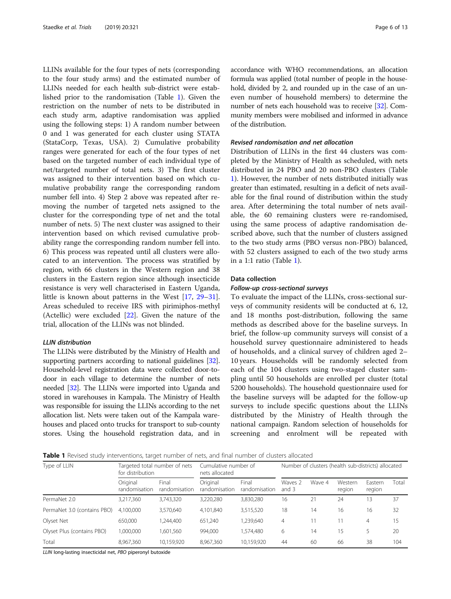LLINs available for the four types of nets (corresponding to the four study arms) and the estimated number of LLINs needed for each health sub-district were established prior to the randomisation (Table 1). Given the restriction on the number of nets to be distributed in each study arm, adaptive randomisation was applied using the following steps: 1) A random number between 0 and 1 was generated for each cluster using STATA (StataCorp, Texas, USA). 2) Cumulative probability ranges were generated for each of the four types of net based on the targeted number of each individual type of net/targeted number of total nets. 3) The first cluster was assigned to their intervention based on which cumulative probability range the corresponding random number fell into. 4) Step 2 above was repeated after removing the number of targeted nets assigned to the cluster for the corresponding type of net and the total number of nets. 5) The next cluster was assigned to their intervention based on which revised cumulative probability range the corresponding random number fell into. 6) This process was repeated until all clusters were allocated to an intervention. The process was stratified by region, with 66 clusters in the Western region and 38 clusters in the Eastern region since although insecticide resistance is very well characterised in Eastern Uganda, little is known about patterns in the West [[17](#page-12-0), [29](#page-12-0)–[31](#page-12-0)]. Areas scheduled to receive IRS with pirimiphos-methyl (Actellic) were excluded [[22\]](#page-12-0). Given the nature of the trial, allocation of the LLINs was not blinded.

# LLIN distribution

The LLINs were distributed by the Ministry of Health and supporting partners according to national guidelines [[32](#page-12-0)]. Household-level registration data were collected door-todoor in each village to determine the number of nets needed [[32](#page-12-0)]. The LLINs were imported into Uganda and stored in warehouses in Kampala. The Ministry of Health was responsible for issuing the LLINs according to the net allocation list. Nets were taken out of the Kampala warehouses and placed onto trucks for transport to sub-county stores. Using the household registration data, and in accordance with WHO recommendations, an allocation formula was applied (total number of people in the household, divided by 2, and rounded up in the case of an uneven number of household members) to determine the number of nets each household was to receive [[32](#page-12-0)]. Community members were mobilised and informed in advance of the distribution.

# Revised randomisation and net allocation

Distribution of LLINs in the first 44 clusters was completed by the Ministry of Health as scheduled, with nets distributed in 24 PBO and 20 non-PBO clusters (Table 1). However, the number of nets distributed initially was greater than estimated, resulting in a deficit of nets available for the final round of distribution within the study area. After determining the total number of nets available, the 60 remaining clusters were re-randomised, using the same process of adaptive randomisation described above, such that the number of clusters assigned to the two study arms (PBO versus non-PBO) balanced, with 52 clusters assigned to each of the two study arms in a 1:1 ratio (Table 1).

# Data collection

# Follow-up cross-sectional surveys

To evaluate the impact of the LLINs, cross-sectional surveys of community residents will be conducted at 6, 12, and 18 months post-distribution, following the same methods as described above for the baseline surveys. In brief, the follow-up community surveys will consist of a household survey questionnaire administered to heads of households, and a clinical survey of children aged 2– 10 years. Households will be randomly selected from each of the 104 clusters using two-staged cluster sampling until 50 households are enrolled per cluster (total 5200 households). The household questionnaire used for the baseline surveys will be adapted for the follow-up surveys to include specific questions about the LLINs distributed by the Ministry of Health through the national campaign. Random selection of households for screening and enrolment will be repeated with

|  |  | Table 1 Revised study interventions, target number of nets, and final number of clusters allocated |  |  |
|--|--|----------------------------------------------------------------------------------------------------|--|--|
|--|--|----------------------------------------------------------------------------------------------------|--|--|

| Type of LLIN                | Targeted total number of nets<br>for distribution |                        | Cumulative number of<br>nets allocated |                        | Number of clusters (health sub-districts) allocated |        |                   |                   |       |  |
|-----------------------------|---------------------------------------------------|------------------------|----------------------------------------|------------------------|-----------------------------------------------------|--------|-------------------|-------------------|-------|--|
|                             | Original<br>randomisation                         | Final<br>randomisation | Original<br>randomisation              | Final<br>randomisation | Waves 2<br>and $3$                                  | Wave 4 | Western<br>region | Eastern<br>region | Total |  |
| PermaNet 2.0                | 3,217,360                                         | 3,743,320              | 3,220,280                              | 3,830,280              | 16                                                  | 21     | 24                | 13                | 37    |  |
| PermaNet 3.0 (contains PBO) | 4.100.000                                         | 3,570,640              | 4,101,840                              | 3,515,520              | 18                                                  | 14     | 16                | 16                | 32    |  |
| Olyset Net                  | 650.000                                           | ,244,400               | 651.240                                | 1.239.640              | 4                                                   | 11     |                   | 4                 | 15    |  |
| Olyset Plus (contains PBO)  | 1,000,000                                         | 601,560                | 994,000                                | 1.574.480              | 6                                                   | 14     | 15                |                   | 20    |  |
| Total                       | 8,967,360                                         | 10,159,920             | 8,967,360                              | 10.159.920             | 44                                                  | 60     | 66                | 38                | 104   |  |

LLIN long-lasting insecticidal net, PBO piperonyl butoxide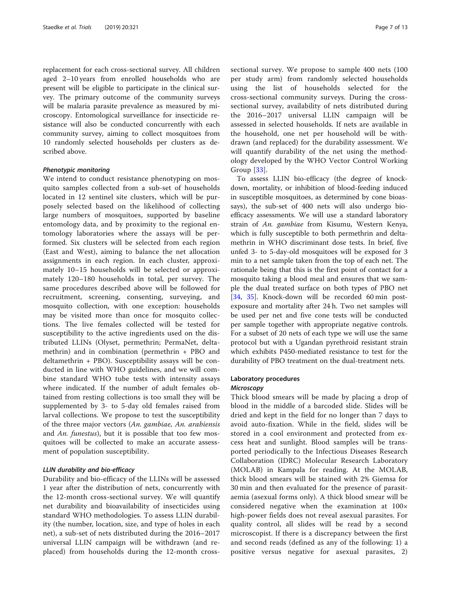replacement for each cross-sectional survey. All children aged 2–10 years from enrolled households who are present will be eligible to participate in the clinical survey. The primary outcome of the community surveys will be malaria parasite prevalence as measured by microscopy. Entomological surveillance for insecticide resistance will also be conducted concurrently with each community survey, aiming to collect mosquitoes from 10 randomly selected households per clusters as described above.

#### Phenotypic monitoring

We intend to conduct resistance phenotyping on mosquito samples collected from a sub-set of households located in 12 sentinel site clusters, which will be purposely selected based on the likelihood of collecting large numbers of mosquitoes, supported by baseline entomology data, and by proximity to the regional entomology laboratories where the assays will be performed. Six clusters will be selected from each region (East and West), aiming to balance the net allocation assignments in each region. In each cluster, approximately 10–15 households will be selected or approximately 120–180 households in total, per survey. The same procedures described above will be followed for recruitment, screening, consenting, surveying, and mosquito collection, with one exception: households may be visited more than once for mosquito collections. The live females collected will be tested for susceptibility to the active ingredients used on the distributed LLINs (Olyset, permethrin; PermaNet, deltamethrin) and in combination (permethrin + PBO and deltamethrin + PBO). Susceptibility assays will be conducted in line with WHO guidelines, and we will combine standard WHO tube tests with intensity assays where indicated. If the number of adult females obtained from resting collections is too small they will be supplemented by 3- to 5-day old females raised from larval collections. We propose to test the susceptibility of the three major vectors (An. gambiae, An. arabiensis and An. funestus), but it is possible that too few mosquitoes will be collected to make an accurate assessment of population susceptibility.

# LLIN durability and bio-efficacy

Durability and bio-efficacy of the LLINs will be assessed 1 year after the distribution of nets, concurrently with the 12-month cross-sectional survey. We will quantify net durability and bioavailability of insecticides using standard WHO methodologies. To assess LLIN durability (the number, location, size, and type of holes in each net), a sub-set of nets distributed during the 2016–2017 universal LLIN campaign will be withdrawn (and replaced) from households during the 12-month crosssectional survey. We propose to sample 400 nets (100 per study arm) from randomly selected households using the list of households selected for the cross-sectional community surveys. During the crosssectional survey, availability of nets distributed during the 2016–2017 universal LLIN campaign will be assessed in selected households. If nets are available in the household, one net per household will be withdrawn (and replaced) for the durability assessment. We will quantify durability of the net using the methodology developed by the WHO Vector Control Working Group [[33\]](#page-12-0).

To assess LLIN bio-efficacy (the degree of knockdown, mortality, or inhibition of blood-feeding induced in susceptible mosquitoes, as determined by cone bioassays), the sub-set of 400 nets will also undergo bioefficacy assessments. We will use a standard laboratory strain of An. gambiae from Kisumu, Western Kenya, which is fully susceptible to both permethrin and deltamethrin in WHO discriminant dose tests. In brief, five unfed 3- to 5-day-old mosquitoes will be exposed for 3 min to a net sample taken from the top of each net. The rationale being that this is the first point of contact for a mosquito taking a blood meal and ensures that we sample the dual treated surface on both types of PBO net [[34,](#page-12-0) [35\]](#page-12-0). Knock-down will be recorded 60 min postexposure and mortality after 24 h. Two net samples will be used per net and five cone tests will be conducted per sample together with appropriate negative controls. For a subset of 20 nets of each type we will use the same protocol but with a Ugandan pyrethroid resistant strain which exhibits P450-mediated resistance to test for the durability of PBO treatment on the dual-treatment nets.

# Laboratory procedures

# **Microscopy**

Thick blood smears will be made by placing a drop of blood in the middle of a barcoded slide. Slides will be dried and kept in the field for no longer than 7 days to avoid auto-fixation. While in the field, slides will be stored in a cool environment and protected from excess heat and sunlight. Blood samples will be transported periodically to the Infectious Diseases Research Collaboration (IDRC) Molecular Research Laboratory (MOLAB) in Kampala for reading. At the MOLAB, thick blood smears will be stained with 2% Giemsa for 30 min and then evaluated for the presence of parasitaemia (asexual forms only). A thick blood smear will be considered negative when the examination at 100× high-power fields does not reveal asexual parasites. For quality control, all slides will be read by a second microscopist. If there is a discrepancy between the first and second reads (defined as any of the following: 1) a positive versus negative for asexual parasites, 2)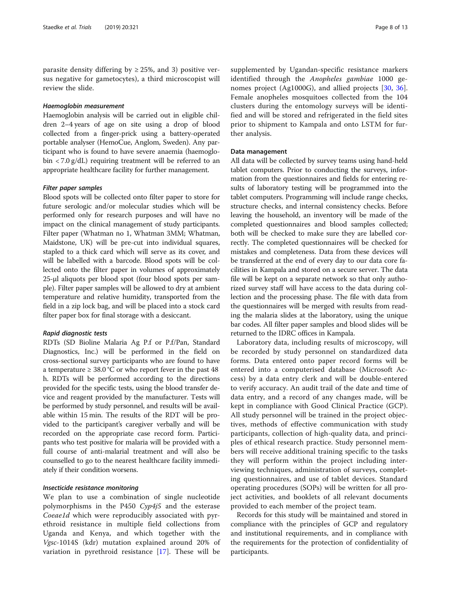parasite density differing by  $\geq$  25%, and 3) positive versus negative for gametocytes), a third microscopist will review the slide.

# Haemoglobin measurement

Haemoglobin analysis will be carried out in eligible children 2–4 years of age on site using a drop of blood collected from a finger-prick using a battery-operated portable analyser (HemoCue, Anglom, Sweden). Any participant who is found to have severe anaemia (haemoglobin  $\langle 7.0 \text{ g/d} L \rangle$  requiring treatment will be referred to an appropriate healthcare facility for further management.

#### Filter paper samples

Blood spots will be collected onto filter paper to store for future serologic and/or molecular studies which will be performed only for research purposes and will have no impact on the clinical management of study participants. Filter paper (Whatman no 1, Whatman 3MM; Whatman, Maidstone, UK) will be pre-cut into individual squares, stapled to a thick card which will serve as its cover, and will be labelled with a barcode. Blood spots will be collected onto the filter paper in volumes of approximately 25-μl aliquots per blood spot (four blood spots per sample). Filter paper samples will be allowed to dry at ambient temperature and relative humidity, transported from the field in a zip lock bag, and will be placed into a stock card filter paper box for final storage with a desiccant.

#### Rapid diagnostic tests

RDTs (SD Bioline Malaria Ag P.f or P.f/Pan, Standard Diagnostics, Inc.) will be performed in the field on cross-sectional survey participants who are found to have a temperature  $\geq 38.0$  °C or who report fever in the past 48 h. RDTs will be performed according to the directions provided for the specific tests, using the blood transfer device and reagent provided by the manufacturer. Tests will be performed by study personnel, and results will be available within 15 min. The results of the RDT will be provided to the participant's caregiver verbally and will be recorded on the appropriate case record form. Participants who test positive for malaria will be provided with a full course of anti-malarial treatment and will also be counselled to go to the nearest healthcare facility immediately if their condition worsens.

# Insecticide resistance monitoring

We plan to use a combination of single nucleotide polymorphisms in the P450 Cyp4j5 and the esterase Coeae1d which were reproducibly associated with pyrethroid resistance in multiple field collections from Uganda and Kenya, and which together with the Vgsc-1014S (kdr) mutation explained around 20% of variation in pyrethroid resistance [\[17](#page-12-0)]. These will be supplemented by Ugandan-specific resistance markers identified through the Anopheles gambiae 1000 genomes project (Ag1000G), and allied projects [[30,](#page-12-0) [36](#page-12-0)]. Female anopheles mosquitoes collected from the 104 clusters during the entomology surveys will be identified and will be stored and refrigerated in the field sites prior to shipment to Kampala and onto LSTM for further analysis.

### Data management

All data will be collected by survey teams using hand-held tablet computers. Prior to conducting the surveys, information from the questionnaires and fields for entering results of laboratory testing will be programmed into the tablet computers. Programming will include range checks, structure checks, and internal consistency checks. Before leaving the household, an inventory will be made of the completed questionnaires and blood samples collected; both will be checked to make sure they are labelled correctly. The completed questionnaires will be checked for mistakes and completeness. Data from these devices will be transferred at the end of every day to our data core facilities in Kampala and stored on a secure server. The data file will be kept on a separate network so that only authorized survey staff will have access to the data during collection and the processing phase. The file with data from the questionnaires will be merged with results from reading the malaria slides at the laboratory, using the unique bar codes. All filter paper samples and blood slides will be returned to the IDRC offices in Kampala.

Laboratory data, including results of microscopy, will be recorded by study personnel on standardized data forms. Data entered onto paper record forms will be entered into a computerised database (Microsoft Access) by a data entry clerk and will be double-entered to verify accuracy. An audit trail of the date and time of data entry, and a record of any changes made, will be kept in compliance with Good Clinical Practice (GCP). All study personnel will be trained in the project objectives, methods of effective communication with study participants, collection of high-quality data, and principles of ethical research practice. Study personnel members will receive additional training specific to the tasks they will perform within the project including interviewing techniques, administration of surveys, completing questionnaires, and use of tablet devices. Standard operating procedures (SOPs) will be written for all project activities, and booklets of all relevant documents provided to each member of the project team.

Records for this study will be maintained and stored in compliance with the principles of GCP and regulatory and institutional requirements, and in compliance with the requirements for the protection of confidentiality of participants.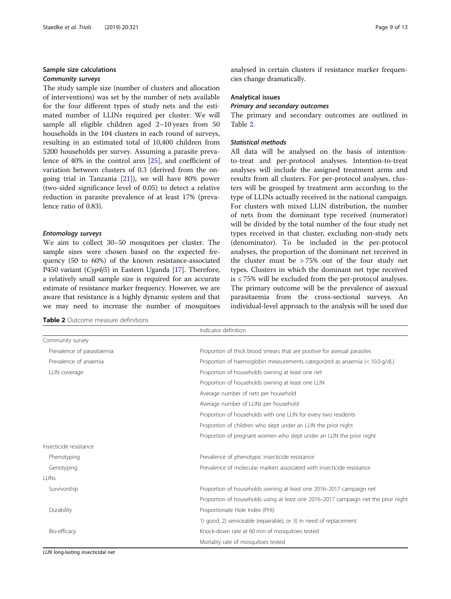# Sample size calculations Community surveys

The study sample size (number of clusters and allocation of interventions) was set by the number of nets available for the four different types of study nets and the estimated number of LLINs required per cluster. We will sample all eligible children aged 2–10 years from 50 households in the 104 clusters in each round of surveys, resulting in an estimated total of 10,400 children from 5200 households per survey. Assuming a parasite prevalence of 40% in the control arm [[25\]](#page-12-0), and coefficient of variation between clusters of 0.3 (derived from the ongoing trial in Tanzania [\[21](#page-12-0)]), we will have 80% power (two-sided significance level of 0.05) to detect a relative reduction in parasite prevalence of at least 17% (prevalence ratio of 0.83).

#### Entomology surveys

We aim to collect 30–50 mosquitoes per cluster. The sample sizes were chosen based on the expected frequency (50 to 60%) of the known resistance-associated P450 variant (Cyp4j5) in Eastern Uganda [[17](#page-12-0)]. Therefore, a relatively small sample size is required for an accurate estimate of resistance marker frequency. However, we are aware that resistance is a highly dynamic system and that we may need to increase the number of mosquitoes

Table 2 Outcome measure definitions

analysed in certain clusters if resistance marker frequencies change dramatically.

# Analytical issues

# Primary and secondary outcomes

The primary and secondary outcomes are outlined in Table 2.

# Statistical methods

All data will be analysed on the basis of intentionto-treat and per-protocol analyses. Intention-to-treat analyses will include the assigned treatment arms and results from all clusters. For per-protocol analyses, clusters will be grouped by treatment arm according to the type of LLINs actually received in the national campaign. For clusters with mixed LLIN distribution, the number of nets from the dominant type received (numerator) will be divided by the total number of the four study net types received in that cluster, excluding non-study nets (denominator). To be included in the per-protocol analyses, the proportion of the dominant net received in the cluster must be > 75% out of the four study net types. Clusters in which the dominant net type received is ≤ 75% will be excluded from the per-protocol analyses. The primary outcome will be the prevalence of asexual parasitaemia from the cross-sectional surveys. An individual-level approach to the analysis will be used due

|                            | Indicator definition                                                               |  |  |  |  |  |
|----------------------------|------------------------------------------------------------------------------------|--|--|--|--|--|
| Community survey           |                                                                                    |  |  |  |  |  |
| Prevalence of parasitaemia | Proportion of thick blood smears that are positive for asexual parasites           |  |  |  |  |  |
| Prevalence of anaemia      | Proportion of haemoglobin measurements categorized as anaemia (< 10.0 g/dL)        |  |  |  |  |  |
| LLIN coverage              | Proportion of households owning at least one net                                   |  |  |  |  |  |
|                            | Proportion of households owning at least one LLIN                                  |  |  |  |  |  |
|                            | Average number of nets per household                                               |  |  |  |  |  |
|                            | Average number of LLINs per household                                              |  |  |  |  |  |
|                            | Proportion of households with one LLIN for every two residents                     |  |  |  |  |  |
|                            | Proportion of children who slept under an LLIN the prior night                     |  |  |  |  |  |
|                            | Proportion of pregnant women who slept under an LLIN the prior night               |  |  |  |  |  |
| Insecticide resistance     |                                                                                    |  |  |  |  |  |
| Phenotyping                | Prevalence of phenotypic insecticide resistance                                    |  |  |  |  |  |
| Genotyping                 | Prevalence of molecular markers associated with insecticide resistance             |  |  |  |  |  |
| <b>IIINs</b>               |                                                                                    |  |  |  |  |  |
| Survivorship               | Proportion of households owning at least one 2016-2017 campaign net                |  |  |  |  |  |
|                            | Proportion of households using at least one 2016–2017 campaign net the prior night |  |  |  |  |  |
| Durability                 | Proportionate Hole Index (PHI):                                                    |  |  |  |  |  |
|                            | 1) good, 2) serviceable (repairable), or 3) in need of replacement                 |  |  |  |  |  |
| Bio-efficacy               | Knock-down rate at 60 min of mosquitoes tested                                     |  |  |  |  |  |
|                            | Mortality rate of mosquitoes tested                                                |  |  |  |  |  |

LLIN long-lasting insecticidal net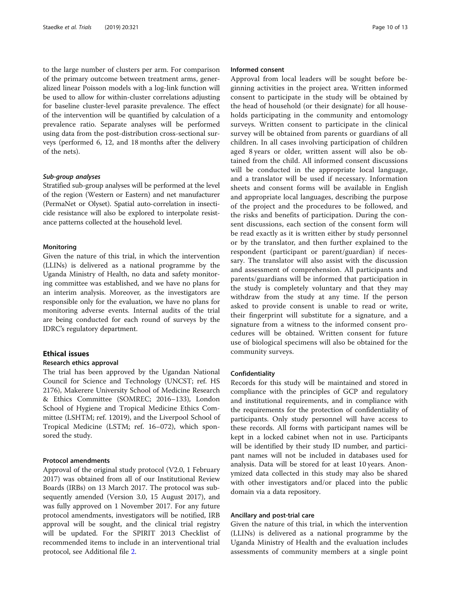to the large number of clusters per arm. For comparison of the primary outcome between treatment arms, generalized linear Poisson models with a log-link function will be used to allow for within-cluster correlations adjusting for baseline cluster-level parasite prevalence. The effect of the intervention will be quantified by calculation of a prevalence ratio. Separate analyses will be performed using data from the post-distribution cross-sectional surveys (performed 6, 12, and 18 months after the delivery of the nets).

#### Sub-group analyses

Stratified sub-group analyses will be performed at the level of the region (Western or Eastern) and net manufacturer (PermaNet or Olyset). Spatial auto-correlation in insecticide resistance will also be explored to interpolate resistance patterns collected at the household level.

# **Monitoring**

Given the nature of this trial, in which the intervention (LLINs) is delivered as a national programme by the Uganda Ministry of Health, no data and safety monitoring committee was established, and we have no plans for an interim analysis. Moreover, as the investigators are responsible only for the evaluation, we have no plans for monitoring adverse events. Internal audits of the trial are being conducted for each round of surveys by the IDRC's regulatory department.

# Ethical issues

#### Research ethics approval

The trial has been approved by the Ugandan National Council for Science and Technology (UNCST; ref. HS 2176), Makerere University School of Medicine Research & Ethics Committee (SOMREC; 2016–133), London School of Hygiene and Tropical Medicine Ethics Committee (LSHTM; ref. 12019), and the Liverpool School of Tropical Medicine (LSTM; ref. 16–072), which sponsored the study.

#### Protocol amendments

Approval of the original study protocol (V2.0, 1 February 2017) was obtained from all of our Institutional Review Boards (IRBs) on 13 March 2017. The protocol was subsequently amended (Version 3.0, 15 August 2017), and was fully approved on 1 November 2017. For any future protocol amendments, investigators will be notified, IRB approval will be sought, and the clinical trial registry will be updated. For the SPIRIT 2013 Checklist of recommended items to include in an interventional trial protocol, see Additional file [2.](#page-11-0)

# Informed consent

Approval from local leaders will be sought before beginning activities in the project area. Written informed consent to participate in the study will be obtained by the head of household (or their designate) for all households participating in the community and entomology surveys. Written consent to participate in the clinical survey will be obtained from parents or guardians of all children. In all cases involving participation of children aged 8 years or older, written assent will also be obtained from the child. All informed consent discussions will be conducted in the appropriate local language, and a translator will be used if necessary. Information sheets and consent forms will be available in English and appropriate local languages, describing the purpose of the project and the procedures to be followed, and the risks and benefits of participation. During the consent discussions, each section of the consent form will be read exactly as it is written either by study personnel or by the translator, and then further explained to the respondent (participant or parent/guardian) if necessary. The translator will also assist with the discussion and assessment of comprehension. All participants and parents/guardians will be informed that participation in the study is completely voluntary and that they may withdraw from the study at any time. If the person asked to provide consent is unable to read or write, their fingerprint will substitute for a signature, and a signature from a witness to the informed consent procedures will be obtained. Written consent for future use of biological specimens will also be obtained for the community surveys.

#### Confidentiality

Records for this study will be maintained and stored in compliance with the principles of GCP and regulatory and institutional requirements, and in compliance with the requirements for the protection of confidentiality of participants. Only study personnel will have access to these records. All forms with participant names will be kept in a locked cabinet when not in use. Participants will be identified by their study ID number, and participant names will not be included in databases used for analysis. Data will be stored for at least 10 years. Anonymized data collected in this study may also be shared with other investigators and/or placed into the public domain via a data repository.

# Ancillary and post-trial care

Given the nature of this trial, in which the intervention (LLINs) is delivered as a national programme by the Uganda Ministry of Health and the evaluation includes assessments of community members at a single point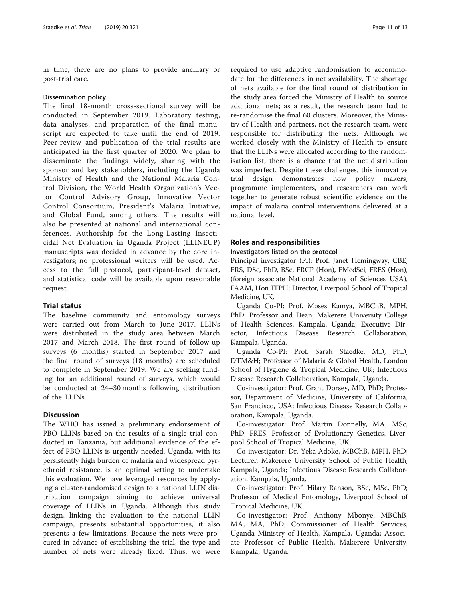in time, there are no plans to provide ancillary or post-trial care.

#### Dissemination policy

The final 18-month cross-sectional survey will be conducted in September 2019. Laboratory testing, data analyses, and preparation of the final manuscript are expected to take until the end of 2019. Peer-review and publication of the trial results are anticipated in the first quarter of 2020. We plan to disseminate the findings widely, sharing with the sponsor and key stakeholders, including the Uganda Ministry of Health and the National Malaria Control Division, the World Health Organization's Vector Control Advisory Group, Innovative Vector Control Consortium, President's Malaria Initiative, and Global Fund, among others. The results will also be presented at national and international conferences. Authorship for the Long-Lasting Insecticidal Net Evaluation in Uganda Project (LLINEUP) manuscripts was decided in advance by the core investigators; no professional writers will be used. Access to the full protocol, participant-level dataset, and statistical code will be available upon reasonable request.

# Trial status

The baseline community and entomology surveys were carried out from March to June 2017. LLINs were distributed in the study area between March 2017 and March 2018. The first round of follow-up surveys (6 months) started in September 2017 and the final round of surveys (18 months) are scheduled to complete in September 2019. We are seeking funding for an additional round of surveys, which would be conducted at 24–30 months following distribution of the LLINs.

# **Discussion**

The WHO has issued a preliminary endorsement of PBO LLINs based on the results of a single trial conducted in Tanzania, but additional evidence of the effect of PBO LLINs is urgently needed. Uganda, with its persistently high burden of malaria and widespread pyrethroid resistance, is an optimal setting to undertake this evaluation. We have leveraged resources by applying a cluster-randomised design to a national LLIN distribution campaign aiming to achieve universal coverage of LLINs in Uganda. Although this study design, linking the evaluation to the national LLIN campaign, presents substantial opportunities, it also presents a few limitations. Because the nets were procured in advance of establishing the trial, the type and number of nets were already fixed. Thus, we were required to use adaptive randomisation to accommodate for the differences in net availability. The shortage of nets available for the final round of distribution in the study area forced the Ministry of Health to source additional nets; as a result, the research team had to re-randomise the final 60 clusters. Moreover, the Ministry of Health and partners, not the research team, were responsible for distributing the nets. Although we worked closely with the Ministry of Health to ensure that the LLINs were allocated according to the randomisation list, there is a chance that the net distribution was imperfect. Despite these challenges, this innovative trial design demonstrates how policy makers, programme implementers, and researchers can work together to generate robust scientific evidence on the impact of malaria control interventions delivered at a national level.

# Roles and responsibilities

## Investigators listed on the protocol

Principal investigator (PI): Prof. Janet Hemingway, CBE, FRS, DSc, PhD, BSc, FRCP (Hon), FMedSci, FRES (Hon), (foreign associate National Academy of Sciences USA), FAAM, Hon FFPH; Director, Liverpool School of Tropical Medicine, UK.

Uganda Co-PI: Prof. Moses Kamya, MBChB, MPH, PhD; Professor and Dean, Makerere University College of Health Sciences, Kampala, Uganda; Executive Director, Infectious Disease Research Collaboration, Kampala, Uganda.

Uganda Co-PI: Prof. Sarah Staedke, MD, PhD, DTM&H; Professor of Malaria & Global Health, London School of Hygiene & Tropical Medicine, UK; Infectious Disease Research Collaboration, Kampala, Uganda.

Co-investigator: Prof. Grant Dorsey, MD, PhD; Professor, Department of Medicine, University of California, San Francisco, USA; Infectious Disease Research Collaboration, Kampala, Uganda.

Co-investigator: Prof. Martin Donnelly, MA, MSc, PhD, FRES; Professor of Evolutionary Genetics, Liverpool School of Tropical Medicine, UK.

Co-investigator: Dr. Yeka Adoke, MBChB, MPH, PhD; Lecturer, Makerere University School of Public Health, Kampala, Uganda; Infectious Disease Research Collaboration, Kampala, Uganda.

Co-investigator: Prof. Hilary Ranson, BSc, MSc, PhD; Professor of Medical Entomology, Liverpool School of Tropical Medicine, UK.

Co-investigator: Prof. Anthony Mbonye, MBChB, MA, MA, PhD; Commissioner of Health Services, Uganda Ministry of Health, Kampala, Uganda; Associate Professor of Public Health, Makerere University, Kampala, Uganda.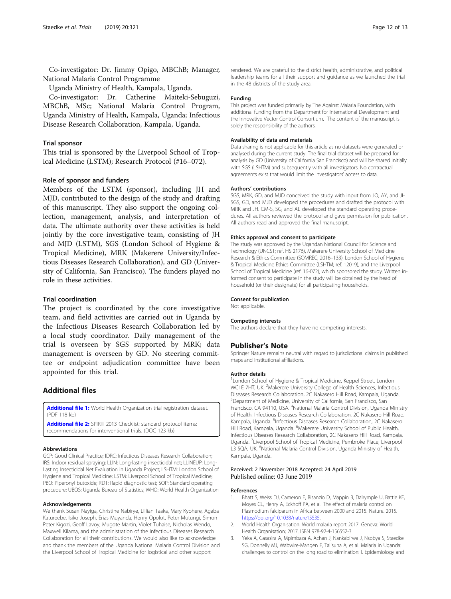<span id="page-11-0"></span>Co-investigator: Dr. Jimmy Opigo, MBChB; Manager, National Malaria Control Programme

Uganda Ministry of Health, Kampala, Uganda.

Co-investigator: Dr. Catherine Maiteki-Sebuguzi, MBChB, MSc; National Malaria Control Program, Uganda Ministry of Health, Kampala, Uganda; Infectious Disease Research Collaboration, Kampala, Uganda.

# Trial sponsor

This trial is sponsored by the Liverpool School of Tropical Medicine (LSTM); Research Protocol (#16–072).

# Role of sponsor and funders

Members of the LSTM (sponsor), including JH and MJD, contributed to the design of the study and drafting of this manuscript. They also support the ongoing collection, management, analysis, and interpretation of data. The ultimate authority over these activities is held jointly by the core investigative team, consisting of JH and MJD (LSTM), SGS (London School of Hygiene & Tropical Medicine), MRK (Makerere University/Infectious Diseases Research Collaboration), and GD (University of California, San Francisco). The funders played no role in these activities.

#### Trial coordination

The project is coordinated by the core investigative team, and field activities are carried out in Uganda by the Infectious Diseases Research Collaboration led by a local study coordinator. Daily management of the trial is overseen by SGS supported by MRK; data management is overseen by GD. No steering committee or endpoint adjudication committee have been appointed for this trial.

# Additional files

[Additional file 1:](https://doi.org/10.1186/s13063-019-3382-8) World Health Organization trial registration dataset. (PDF 118 kb)

[Additional file 2:](https://doi.org/10.1186/s13063-019-3382-8) SPIRIT 2013 Checklist: standard protocol items: recommendations for interventional trials. (DOC 123 kb)

#### Abbreviations

GCP: Good Clinical Practice; IDRC: Infectious Diseases Research Collaboration; IRS: Indoor residual spraying; LLIN: Long-lasting insecticidal net; LLINEUP: Long-Lasting Insecticidal Net Evaluation in Uganda Project; LSHTM: London School of Hygiene and Tropical Medicine; LSTM: Liverpool School of Tropical Medicine; PBO: Piperonyl butoxide; RDT: Rapid diagnostic test; SOP: Standard operating procedure; UBOS: Uganda Bureau of Statistics; WHO: World Health Organization

#### Acknowledgements

We thank Susan Nayiga, Christine Nabirye, Lillian Taaka, Mary Kyohere, Agaba Katureebe, Isiko Joseph, Erias Muyanda, Henry Opolot, Peter Mutungi, Simon Peter Kigozi, Geoff Lavoy, Mugote Martin, Violet Tuhaise, Nicholas Wendo, Maxwell Kilama, and the administration of the Infectious Diseases Research Collaboration for all their contributions. We would also like to acknowledge and thank the members of the Uganda National Malaria Control Division and the Liverpool School of Tropical Medicine for logistical and other support

rendered. We are grateful to the district health, administrative, and political leadership teams for all their support and guidance as we launched the trial in the 48 districts of the study area.

#### Funding

This project was funded primarily by The Against Malaria Foundation, with additional funding from the Department for International Development and the Innovative Vector Control Consortium. The content of the manuscript is solely the responsibility of the authors.

#### Availability of data and materials

Data sharing is not applicable for this article as no datasets were generated or analysed during the current study. The final trial dataset will be prepared for analysis by GD (University of California San Francisco) and will be shared initially with SGS (LSHTM) and subsequently with all investigators. No contractual agreements exist that would limit the investigators' access to data.

#### Authors' contributions

SGS, MRK, GD, and MJD conceived the study with input from JO, AY, and JH. SGS, GD, and MJD developed the procedures and drafted the protocol with MRK and JH. CM-S, SG, and AL developed the standard operating procedures. All authors reviewed the protocol and gave permission for publication. All authors read and approved the final manuscript.

#### Ethics approval and consent to participate

The study was approved by the Ugandan National Council for Science and Technology (UNCST; ref. HS 2176), Makerere University School of Medicine Research & Ethics Committee (SOMREC; 2016–133), London School of Hygiene & Tropical Medicine Ethics Committee (LSHTM; ref. 12019), and the Liverpool School of Tropical Medicine (ref. 16-072), which sponsored the study. Written informed consent to participate in the study will be obtained by the head of household (or their designate) for all participating households.

#### Consent for publication

Not applicable.

#### Competing interests

The authors declare that they have no competing interests.

#### Publisher's Note

Springer Nature remains neutral with regard to jurisdictional claims in published maps and institutional affiliations.

#### Author details

<sup>1</sup> London School of Hygiene & Tropical Medicine, Keppel Street, London WC1E 7HT, UK. <sup>2</sup>Makerere University College of Health Sciences, Infectious Diseases Research Collaboration, 2C Nakasero Hill Road, Kampala, Uganda. <sup>3</sup>Department of Medicine, University of California, San Francisco, San Francisco, CA 94110, USA. <sup>4</sup>National Malaria Control Division, Uganda Ministry of Health, Infectious Diseases Research Collaboration, 2C Nakasero Hill Road, Kampala, Uganda. <sup>5</sup>Infectious Diseases Research Collaboration, 2C Nakasero Hill Road, Kampala, Uganda. <sup>6</sup>Makerere University School of Public Health Infectious Diseases Research Collaboration, 2C Nakasero Hill Road, Kampala, Uganda. <sup>7</sup>Liverpool School of Tropical Medicine, Pembroke Place, Liverpool L3 5QA, UK. <sup>8</sup>National Malaria Control Division, Uganda Ministry of Health Kampala, Uganda.

#### Received: 2 November 2018 Accepted: 24 April 2019 Published online: 03 June 2019

#### References

- 1. Bhatt S, Weiss DJ, Cameron E, Bisanzio D, Mappin B, Dalrymple U, Battle KE, Moyes CL, Henry A, Eckhoff PA, et al. The effect of malaria control on Plasmodium falciparum in Africa between 2000 and 2015. Nature. 2015. <https://doi.org/10.1038/nature15535>.
- 2. World Health Organisation. World malaria report 2017. Geneva: World Health Organisation; 2017. ISBN 978-92-4-156552-3
- 3. Yeka A, Gasasira A, Mpimbaza A, Achan J, Nankabirwa J, Nsobya S, Staedke SG, Donnelly MJ, Wabwire-Mangen F, Talisuna A, et al. Malaria in Uganda: challenges to control on the long road to elimination: I. Epidemiology and